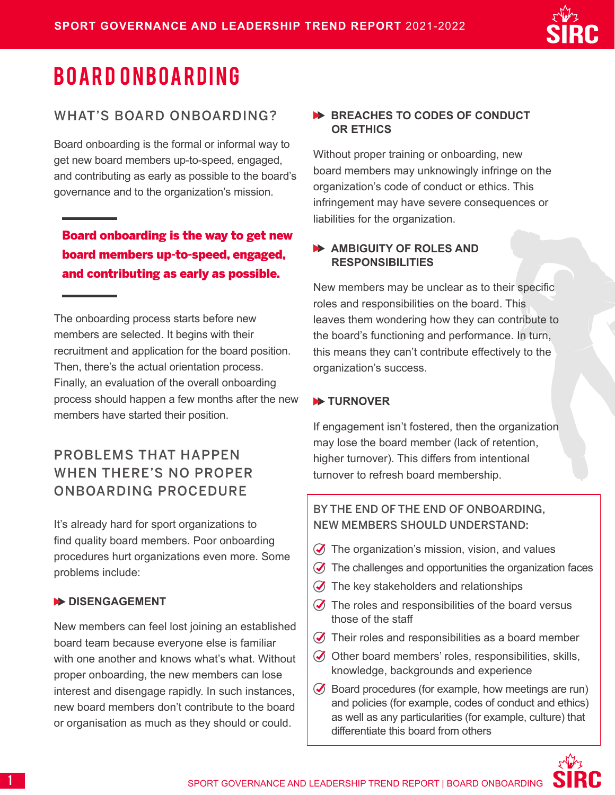

# BOARD ONBOARDING

## WHAT'S BOARD ONBOARDING?

Board onboarding is the formal or informal way to get new board members up-to-speed, engaged, and contributing as early as possible to the board's governance and to the organization's mission.

## Board onboarding is the way to get new board members up-to-speed, engaged, and contributing as early as possible.

The onboarding process starts before new members are selected. It begins with their recruitment and application for the board position. Then, there's the actual orientation process. Finally, an evaluation of the overall onboarding process should happen a few months after the new members have started their position.

## PROBLEMS THAT HAPPEN WHEN THERE'S NO PROPER ONBOARDING PROCEDURE

It's already hard for sport organizations to find quality board members. Poor onboarding procedures hurt organizations even more. Some problems include:

#### **DISENGAGEMENT**

New members can feel lost joining an established board team because everyone else is familiar with one another and knows what's what. Without proper onboarding, the new members can lose interest and disengage rapidly. In such instances, new board members don't contribute to the board or organisation as much as they should or could.

### **BREACHES TO CODES OF CONDUCT OR ETHICS**

Without proper training or onboarding, new board members may unknowingly infringe on the organization's code of conduct or ethics. This infringement may have severe consequences or liabilities for the organization.

## **AMBIGUITY OF ROLES AND RESPONSIBILITIES**

New members may be unclear as to their specific roles and responsibilities on the board. This leaves them wondering how they can contribute to the board's functioning and performance. In turn, this means they can't contribute effectively to the organization's success.

## **EXAMPLE TURNOVER**

If engagement isn't fostered, then the organization may lose the board member (lack of retention, higher turnover). This differs from intentional turnover to refresh board membership.

## BY THE END OF THE END OF ONBOARDING, NEW MEMBERS SHOULD UNDERSTAND:

- $\oslash$  The organization's mission, vision, and values
- $\oslash$  The challenges and opportunities the organization faces
- $\oslash$  The key stakeholders and relationships
- $\oslash$  The roles and responsibilities of the board versus those of the staff
- $\oslash$  Their roles and responsibilities as a board member
- $\oslash$  Other board members' roles, responsibilities, skills, knowledge, backgrounds and experience
- $\bullet$  Board procedures (for example, how meetings are run) and policies (for example, codes of conduct and ethics) as well as any particularities (for example, culture) that differentiate this board from others

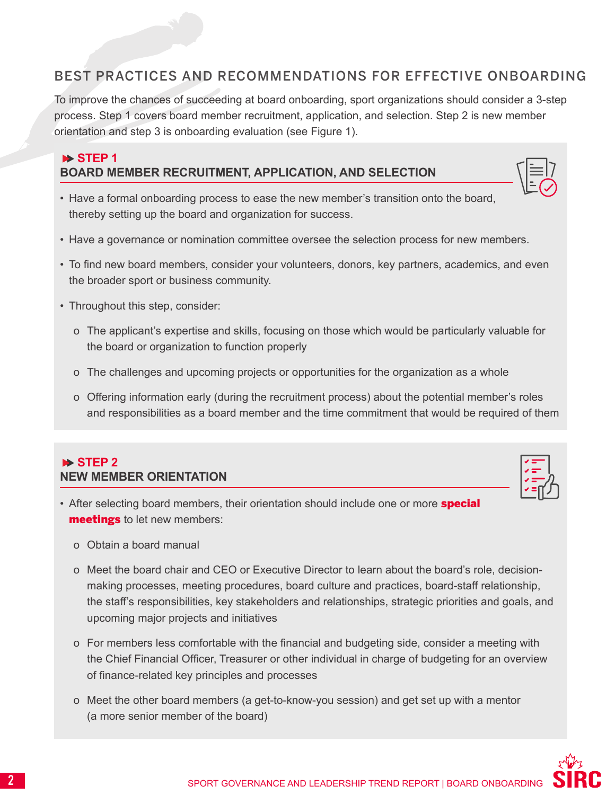## BEST PRACTICES AND RECOMMENDATIONS FOR EFFECTIVE ONBOARDING

To improve the chances of succeeding at board onboarding, sport organizations should consider a 3-step process. Step 1 covers board member recruitment, application, and selection. Step 2 is new member orientation and step 3 is onboarding evaluation (see Figure 1).

## **STEP 1 BOARD MEMBER RECRUITMENT, APPLICATION, AND SELECTION**

- 
- Have a formal onboarding process to ease the new member's transition onto the board, thereby setting up the board and organization for success.
- Have a governance or nomination committee oversee the selection process for new members.
- To find new board members, consider your volunteers, donors, key partners, academics, and even the broader sport or business community.
- Throughout this step, consider:
	- o The applicant's expertise and skills, focusing on those which would be particularly valuable for the board or organization to function properly
	- o The challenges and upcoming projects or opportunities for the organization as a whole
	- o Offering information early (during the recruitment process) about the potential member's roles and responsibilities as a board member and the time commitment that would be required of them

## **STEP 2 NEW MEMBER ORIENTATION**

- After selecting board members, their orientation should include one or more **special** meetings to let new members:
	- o Obtain a board manual
	- o Meet the board chair and CEO or Executive Director to learn about the board's role, decisionmaking processes, meeting procedures, board culture and practices, board-staff relationship, the staff's responsibilities, key stakeholders and relationships, strategic priorities and goals, and upcoming major projects and initiatives
	- o For members less comfortable with the financial and budgeting side, consider a meeting with the Chief Financial Officer, Treasurer or other individual in charge of budgeting for an overview of finance-related key principles and processes
	- o Meet the other board members (a get-to-know-you session) and get set up with a mentor (a more senior member of the board)



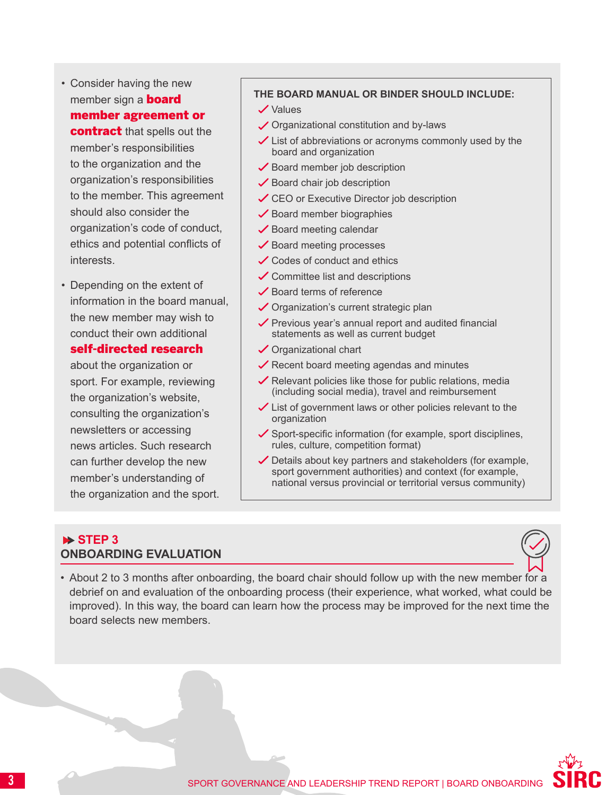

member's responsibilities to the organization and the organization's responsibilities to the member. This agreement should also consider the organization's code of conduct, ethics and potential conflicts of interests.

• Depending on the extent of information in the board manual, the new member may wish to conduct their own additional self-directed research

## about the organization or

sport. For example, reviewing the organization's website, consulting the organization's newsletters or accessing news articles. Such research can further develop the new member's understanding of the organization and the sport.

#### **THE BOARD MANUAL OR BINDER SHOULD INCLUDE:**

- $\checkmark$  Values
- Organizational constitution and by-laws
- $\angle$  List of abbreviations or acronyms commonly used by the board and organization
- $\checkmark$  Board member job description
- $\checkmark$  Board chair job description
- **✓ CEO or Executive Director job description**
- $\checkmark$  Board member biographies
- $\checkmark$  Board meeting calendar
- $\checkmark$  Board meeting processes
- **✓** Codes of conduct and ethics
- $\checkmark$  Committee list and descriptions
- $\checkmark$  Board terms of reference
- $\checkmark$  Organization's current strategic plan
- $\checkmark$  Previous year's annual report and audited financial statements as well as current budget
- Organizational chart
- $\sqrt{\ }$  Recent board meeting agendas and minutes
- $\checkmark$  Relevant policies like those for public relations, media (including social media), travel and reimbursement
- $\angle$  List of government laws or other policies relevant to the organization
- $\checkmark$  Sport-specific information (for example, sport disciplines, rules, culture, competition format)
- $\checkmark$  Details about key partners and stakeholders (for example, sport government authorities) and context (for example, national versus provincial or territorial versus community)

## **STEP 3 ONBOARDING EVALUATION**



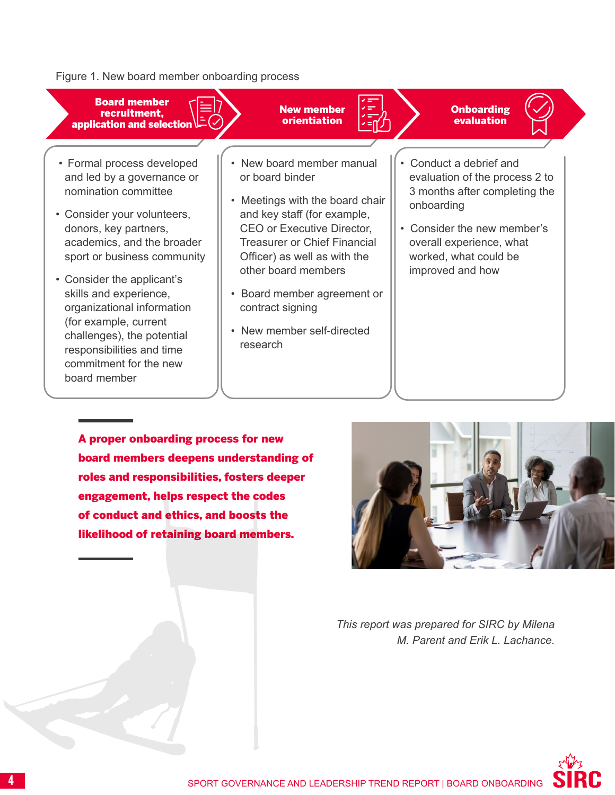#### Figure 1. New board member onboarding process



• Consider the applicant's skills and experience, organizational information (for example, current challenges), the potential responsibilities and time commitment for the new board member

sport or business community

- Treasurer or Chief Financial Officer) as well as with the other board members
- Board member agreement or contract signing
- New member self-directed research
- overall experience, what worked, what could be improved and how

A proper onboarding process for new board members deepens understanding of roles and responsibilities, fosters deeper engagement, helps respect the codes of conduct and ethics, and boosts the likelihood of retaining board members.



*This report was prepared for SIRC by Milena M. Parent and Erik L. Lachance.*